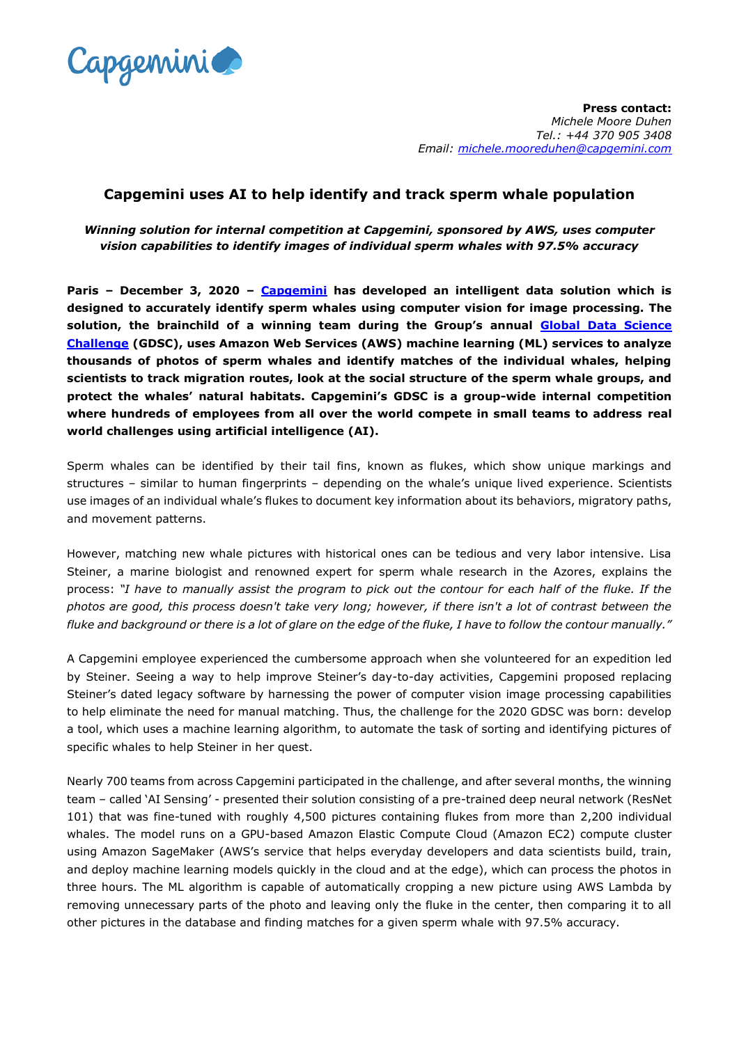

**Press contact:** *Michele Moore Duhen Tel.: +44 370 905 3408 Email: [michele.mooreduhen@capgemini.com](mailto:michele.mooreduhen@capgemini.com)* 

## **Capgemini uses AI to help identify and track sperm whale population**

*Winning solution for internal competition at Capgemini, sponsored by AWS, uses computer vision capabilities to identify images of individual sperm whales with 97.5% accuracy*

**Paris – December 3, 2020 – [Capgemini](https://www.capgemini.com/) has developed an intelligent data solution which is designed to accurately identify sperm whales using computer vision for image processing. The solution, the brainchild of a winning team during the Group's annual [Global Data Science](https://www.capgemini.com/client-story/using-ai-to-protect-sperm-whales/?utm_source=pr&utm_medium=referral&utm_content=insightsdata_none_link_pressrelease_whale_story&utm_campaign=AI_Analytics_data_science_game)  [Challenge](https://www.capgemini.com/client-story/using-ai-to-protect-sperm-whales/?utm_source=pr&utm_medium=referral&utm_content=insightsdata_none_link_pressrelease_whale_story&utm_campaign=AI_Analytics_data_science_game) (GDSC), uses Amazon Web Services (AWS) machine learning (ML) services to analyze thousands of photos of sperm whales and identify matches of the individual whales, helping scientists to track migration routes, look at the social structure of the sperm whale groups, and protect the whales' natural habitats. Capgemini's GDSC is a group-wide internal competition where hundreds of employees from all over the world compete in small teams to address real world challenges using artificial intelligence (AI).** 

Sperm whales can be identified by their tail fins, known as flukes, which show unique markings and structures – similar to human fingerprints – depending on the whale's unique lived experience. Scientists use images of an individual whale's flukes to document key information about its behaviors, migratory paths, and movement patterns.

However, matching new whale pictures with historical ones can be tedious and very labor intensive. Lisa Steiner, a marine biologist and renowned expert for sperm whale research in the Azores, explains the process: *"I have to manually assist the program to pick out the contour for each half of the fluke. If the photos are good, this process doesn't take very long; however, if there isn't a lot of contrast between the fluke and background or there is a lot of glare on the edge of the fluke, I have to follow the contour manually."*

A Capgemini employee experienced the cumbersome approach when she volunteered for an expedition led by Steiner. Seeing a way to help improve Steiner's day-to-day activities, Capgemini proposed replacing Steiner's dated legacy software by harnessing the power of computer vision image processing capabilities to help eliminate the need for manual matching. Thus, the challenge for the 2020 GDSC was born: develop a tool, which uses a machine learning algorithm, to automate the task of sorting and identifying pictures of specific whales to help Steiner in her quest.

Nearly 700 teams from across Capgemini participated in the challenge, and after several months, the winning team – called 'AI Sensing' - presented their solution consisting of a pre-trained deep neural network (ResNet 101) that was fine-tuned with roughly 4,500 pictures containing flukes from more than 2,200 individual whales. The model runs on a GPU-based Amazon Elastic Compute Cloud (Amazon EC2) compute cluster using Amazon SageMaker (AWS's service that helps everyday developers and data scientists build, train, and deploy machine learning models quickly in the cloud and at the edge), which can process the photos in three hours. The ML algorithm is capable of automatically cropping a new picture using AWS Lambda by removing unnecessary parts of the photo and leaving only the fluke in the center, then comparing it to all other pictures in the database and finding matches for a given sperm whale with 97.5% accuracy.